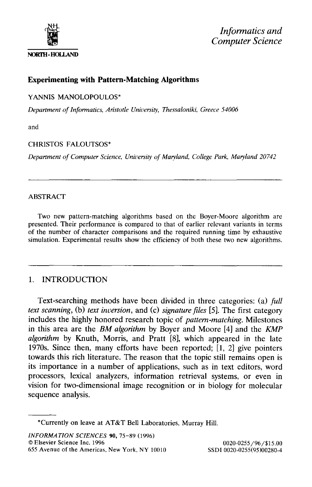

*NORI'H. HOIJAND* 

# **Experimenting with Pattern-Matching Algorithms**

YANNIS MANOLOPOULOS\*

*Department of Informatics, Aristotle University, Thessaloniki, Greece 54006* 

and

CHRISTOS FALOUTSOS\*

*Department of Computer Science, University of Maryland, College Park, Maryland 20742* 

### ABSTRACT

Two new pattern-matching algorithms based on the Boyer-Moore algorithm are presented. Their performance is compared to that of earlier relevant variants in terms of the number of character comparisons and the required running time by exhaustive simulation. Experimental results show the efficiency of both these two new algorithms.

# 1. INTRODUCTION

Text-searching methods have been divided in three categories: (a) full *text scanning,* (b) *text inversion,* and (c) *signature files* [5]. The first category includes the highly honored research topic of *pattern-matching.* Milestones in this area are the *BM algorithm* by Boyer and Moore [4] and the KMP *algorithm* by Knuth, Morris, and Pratt [8], which appeared in the late 1970s. Since then, many efforts have been reported; [1, 2] give pointers towards this rich literature. The reason that the topic still remains open is its importance in a number of applications, such as in text editors, word processors, lexical analyzers, information retrieval systems, or even in vision for two-dimensional image recognition or in biology for molecular sequence analysis.

<sup>\*</sup>Currently on leave at AT&T Bell Laboratories, Murray Hill.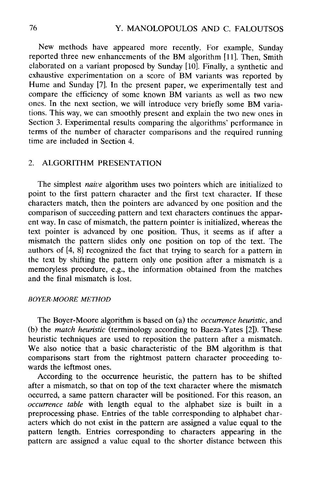New methods have appeared more recently. For example, Sunday reported three new enhancements of the BM algorithm [11]. Then, Smith elaborated on a variant proposed by Sunday [10]. Finally, a synthetic and exhaustive experimentation on a score of BM variants was reported by Hume and Sunday [7]. In the present paper, we experimentally test and compare the efficiency of some known BM variants as well as two new ones. In the next section, we will introduce very briefly some BM variations. This way, we can smoothly present and explain the two new ones in Section 3. Experimental results comparing the algorithms' performance in terms of the number of character comparisons and the required running time are included in Section 4.

## 2. ALGORITHM PRESENTATION

The simplest *naive* algorithm uses two pointers which are initialized to point to the first pattern character and the first text character. If these characters match, then the pointers are advanced by one position and the comparison of succeeding pattern and text characters continues the apparent way. In case of mismatch, the pattern pointer is initialized, whereas the text pointer is advanced by one position. Thus, it seems as if after a mismatch the pattern slides only one position on top of the text. The authors of [4, 8] recognized the fact that trying to search for a pattern in the text by shifting the pattern only one position after a mismatch is a memoryless procedure, e.g., the information obtained from the matches and the final mismatch is lost.

### *BOYER-MOORE METHOD*

The Boyer-Moore algorithm is based on (a) the *occurrence heuristic,* and (b) the *match heuristic* (terminology according to Baeza-Yates [2]). These heuristic techniques are used to reposition the pattern after a mismatch. We also notice that a basic characteristic of the BM algorithm is that comparisons start from the rightmost pattern character proceeding towards the leftmost ones.

According to the occurrence heuristic, the pattern has to be shifted after a mismatch, so that on top of the text character where the mismatch occurred, a same pattern character will be positioned. For this reason, an *occurrence table* with length equal to the alphabet size is built in a preprocessing phase. Entries of the table corresponding to alphabet characters which do not exist in the pattern are assigned a value equal to the pattern length. Entries corresponding to characters appearing in the pattern are assigned a value equal to the shorter distance between this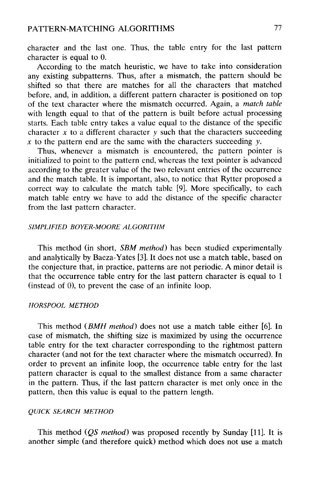character and the last one. Thus, the table entry for the last pattern character is equal to 0.

According to the match heuristic, we have to take into consideration any existing subpatterns. Thus, after a mismatch, the pattern should be shifted so that there are matches for all the characters that matched before, and, in addition, a different pattern character is positioned on top of the text character where the mismatch occurred. Again, a *match table*  with length equal to that of the pattern is built before actual processing starts. Each table entry takes a value equal to the distance of the specific character x to a different character y such that the characters succeeding  $x$  to the pattern end are the same with the characters succeeding y.

Thus, whenever a mismatch is encountered, the pattern pointer is initialized to point to the pattern end, whereas the text pointer is advanced according to the greater value of the two relevant entries of the occurrence and the match table. It is important, also, to notice that Rytter proposed a correct way to calculate the match table [9]. More specifically, to each match table entry we have to add the distance of the specific character from the last pattern character.

# *SIMPLIFIED BOYER-MOORE ALGORITHM*

This method (in short, *SBM method)* has been studied experimentally and analytically by Baeza-Yates [3]. It does not use a match table, based on the conjecture that, in practice, patterns are not periodic. A minor detail is that the occurrence table entry for the last pattern character is equal to 1 (instead of 0), to prevent the case of an infinite loop.

### *HORSPOOL METHOD*

This method *(BMH method)* does not use a match table either [6]. In case of mismatch, the shifting size is maximized by using the occurrence table entry for the text character corresponding to the rightmost pattern character (and not for the text character where the mismatch occurred). In order to prevent an infinite loop, the occurrence table entry for the last pattern character is equal to the smallest distance from a same character in the pattern. Thus, if the last pattern character is met only once in the pattern, then this value is equal to the pattern length.

### *QUICK SEARCH METHOD*

This method *(QS method)* was proposed recently by Sunday [11]. It is another simple (and therefore quick) method which does not use a match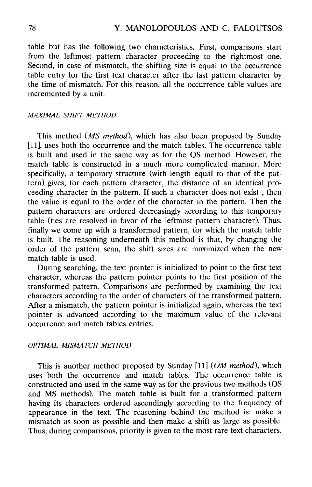table but has the following two characteristics. First, comparisons start from the leftmost pattern character proceeding to the rightmost one. Second, in case of mismatch, the shifting size is equal to the occurrence table entry for the first text character after the last pattern character by the time of mismatch. For this reason, all the occurrence table values are incremented by a unit.

# *MAXIMAL SHIFT METHOD*

This method *(MS method),* which has also been proposed by Sunday [11], uses both the occurrence and the match tables. The occurrence table is built and used in the same way as for the QS method. However, the match table is constructed in a much more complicated manner. More specifically, a temporary structure (with length equal to that of the pattern) gives, for each pattern character, the distance of an identical proceeding character in the pattern. If such a character does not exist, then the value is equal to the order of the character in the pattern. Then the pattern characters are ordered decreasingly according to this temporary table (ties are resolved in favor of the leftmost pattern character). Thus, finally we come up with a transformed pattern, for which the match table is built. The reasoning underneath this method is that, by changing the order of the pattern scan, the shift sizes are maximized when the new match table is used.

During searching, the text pointer is initialized to point to the first text character, whereas the pattern pointer points to the first position of the transformed pattern. Comparisons are performed by examining the text characters according to the order of characters of the transformed pattern. After a mismatch, the pattern pointer is initialized again, whereas the text pointer is advanced according to the maximum value of the relevant occurrence and match tables entries.

## *OPTIMAL MISMATCH METHOD*

This is another method proposed by Sunday [11] *(OM method),* which uses both the occurrence and match tables. The occurrence table is constructed and used in the same way as for the previous two methods (QS and MS methods). The match table is built for a transformed pattern having its characters ordered ascendingly according to the frequency of appearance in the text. The reasoning behind the method is: make a mismatch as soon as possible and then make a shift as large as possible. Thus, during comparisons, priority is given to the most rare text characters.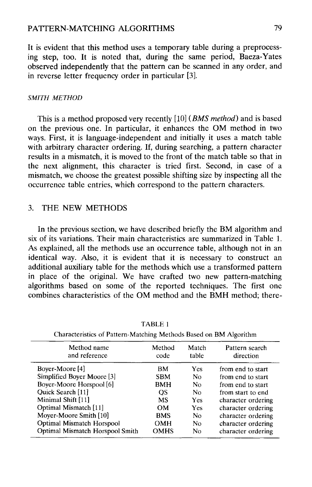# PATTERN-MATCHING ALGORITHMS 79

It is evident that this method uses a temporary table during a preprocessing step, too. It is noted that, during the same period, Baeza-Yates observed independently that the pattern can be scanned in any order, and in reverse letter frequency order in particular [3].

#### *SMITH METHOD*

This is a method proposed very recently [10] *(BMS method)* and is based on the previous one. In particular, it enhances the OM method in two ways. First, it is language-independent and initially it uses a match table with arbitrary character ordering. If, during searching, a pattern character results in a mismatch, it is moved to the front of the match table so that in the next alignment, this character is tried first. Second, in case of a mismatch, we choose the greatest possible shifting size by inspecting all the occurrence table entries, which correspond to the pattern characters.

# 3. THE NEW METHODS

In the previous section, we have described briefly the BM algorithm and six of its variations. Their main characteristics are summarized in Table 1. As explained, all the methods use an occurrence table, although not in an identical way. Also, it is evident that it is necessary to construct an additional auxiliary table for the methods which use a transformed pattern in place of the original. We have crafted two new pattern-matching algorithms based on some of the reported techniques. The first one combines characteristics of the OM method and the BMH method; there-

| Method name<br>and reference    | Method<br>code | Match<br>table | Pattern search<br>direction |
|---------------------------------|----------------|----------------|-----------------------------|
| Boyer-Moore [4]                 | BM             | Yes            | from end to start           |
| Simplified Boyer Moore [3]      | SBM            | No             | from end to start           |
| Boyer-Moore Horspool [6]        | BMH            | No.            | from end to start           |
| Ouick Search [11]               | <b>OS</b>      | N <sub>0</sub> | from start to end           |
| Minimal Shift [11]              | MS             | Yes            | character ordering          |
| Optimal Mismatch [11]           | <b>OM</b>      | Yes            | character ordering          |
| Moyer-Moore Smith [10]          | <b>BMS</b>     | No             | character ordering          |
| Optimal Mismatch Horspool       | OMH            | N <sub>0</sub> | character ordering          |
| Optimal Mismatch Horspool Smith | <b>OMHS</b>    | No             | character ordering          |

TABLE 1

Characteristics of Pattern-Matching Methods Based on BM Algorithm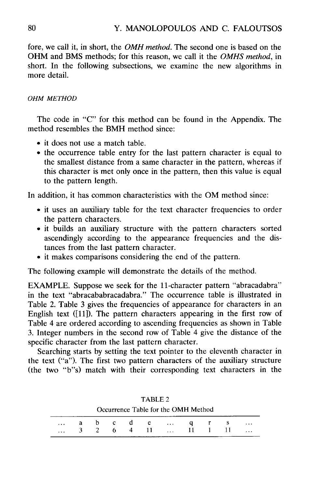fore, we call it, in short, the *OMH method.* The second one is based on the OHM and BMS methods; for this reason, we call it the *OMHS method,* in short. In the following subsections, we examine the new algorithms in more detail.

### *OHM METHOD*

The code in "C" for this method can be found in the Appendix. The method resembles the BMH method since:

- it does not use a match table.
- the occurrence table entry for the last pattern character is equal to the smallest distance from a same character in the pattern, whereas if this character is met only once in the pattern, then this value is equal to the pattern length.

In addition, it has common characteristics with the OM method since:

- it uses an auxiliary table for the text character frequencies to order the pattern characters.
- it builds an auxiliary structure with the pattern characters sorted ascendingly according to the appearance frequencies and the distances from the last pattern character.
- it makes comparisons considering the end of the pattern.

The following example will demonstrate the details of the method.

EXAMPLE. Suppose we seek for the 11-character pattern "abracadabra" in the text "abracababracadabra." The occurrence table is illustrated in Table 2. Table 3 gives the frequencies of appearance for characters in an English text ([11]). The pattern characters appearing in the first row of Table 4 are ordered according to ascending frequencies as shown in Table 3. Integer numbers in the second row of Table 4 give the distance of the specific character from the last pattern character.

Searching starts by setting the text pointer to the eleventh character in the text ("a"). The first two pattern characters of the auxiliary structure (the two "b"s) match with their corresponding text characters in the

| $1$ ADLE $2$<br>Occurrence Table for the OMH Method |   |  |              |   |   |                      |   |  |          |
|-----------------------------------------------------|---|--|--------------|---|---|----------------------|---|--|----------|
| $\cdots$                                            | a |  | $\mathbf{c}$ | α | e | $\cdots$             | u |  | $\cdots$ |
| $\sim$ $\sim$ $\sim$                                |   |  |              |   |   | $\sim$ $\sim$ $\sim$ |   |  | $\cdots$ |

TABLE 2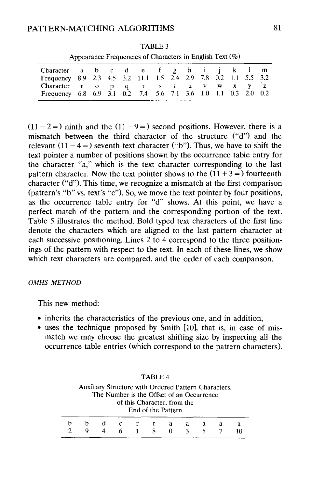### PATFERN-MATCHING ALGORITHMS

| Appearance Frequencies of Characters in English Text $(\%)$    |  |  |  |  |  |  |  |  |  |  |  |
|----------------------------------------------------------------|--|--|--|--|--|--|--|--|--|--|--|
| Character a b c d e f g h i i k l                              |  |  |  |  |  |  |  |  |  |  |  |
| Frequency 8.9 2.3 4.5 3.2 11.1 1.5 2.4 2.9 7.8 0.2 1.1 5.5 3.2 |  |  |  |  |  |  |  |  |  |  |  |
| Character no p q r s t u v w x y                               |  |  |  |  |  |  |  |  |  |  |  |
| Frequency 6.8 6.9 3.1 0.2 7.4 5.6 7.1 3.6 1.0 1.1 0.3 2.0 0.2  |  |  |  |  |  |  |  |  |  |  |  |

TABLE 3

 $(11-2=)$  ninth and the  $(11-9=)$  second positions. However, there is a mismatch between the third character of the structure ("d") and the relevant  $(11 - 4 =)$  seventh text character ("b"). Thus, we have to shift the text pointer a number of positions shown by the occurrence table entry for the character "a," which is the text character corresponding to the last pattern character. Now the text pointer shows to the  $(11 + 3 =)$  fourteenth character ("d"). This time, we recognize a mismatch at the first comparison (pattern's "b" vs. text's "c"). So, we move the text pointer by four positions, as the occurrence table entry for "d" shows. At this point, we have a perfect match of the pattern and the corresponding portion of the text. Table 5 illustrates the method. Bold typed text characters of the first line denote the characters which are aligned to the last pattern character at each successive positioning. Lines 2 to 4 correspond to the three positionings of the pattern with respect to the text. In each of these lines, we show which text characters are compared, and the order of each comparison.

#### *OMHS METHOD*

This new method:

- inherits the characteristics of the previous one, and in addition,
- uses the technique proposed by Smith [10], that is, in case of mismatch we may choose the greatest shifting size by inspecting all the occurrence table entries (which correspond to the pattern characters).

| Auxiliary Structure with Ordered Pattern Characters. | The Number is the Offset of an Occurrence |        | TABLE 4<br>of this Character, from the<br>End of the Pattern |                  |                   |   |   |   |
|------------------------------------------------------|-------------------------------------------|--------|--------------------------------------------------------------|------------------|-------------------|---|---|---|
| ω                                                    | d                                         | c<br>6 | 8.                                                           | а<br>$^{\prime}$ | а<br>$\mathbf{R}$ | а | а | а |

 $T_{\rm max}$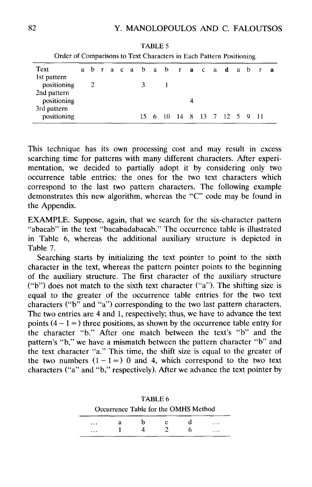| Order of Companions to Text Characters in Each Futtom Tosthoming |  |  |  |  |                             |  |  |  |  |  |
|------------------------------------------------------------------|--|--|--|--|-----------------------------|--|--|--|--|--|
| Text                                                             |  |  |  |  | abracabab racadabra         |  |  |  |  |  |
| 1st pattern<br>positioning                                       |  |  |  |  |                             |  |  |  |  |  |
| 2nd pattern                                                      |  |  |  |  |                             |  |  |  |  |  |
| positioning<br>3rd pattern                                       |  |  |  |  |                             |  |  |  |  |  |
| positioning                                                      |  |  |  |  | 15 6 10 14 8 13 7 12 5 9 11 |  |  |  |  |  |

TABLE 5 Order of Comparisons to Text Characters in Each Pattern Positioning

This technique has its own processing cost and may result in excess searching time for patterns with many different characters. After experimentation, we decided to partially adopt it by considering only two occurrence table entries: the ones for the two text characters which correspond to the last two pattern characters. The following example demonstrates this new algorithm, whereas the "C" code may be found in the Appendix.

EXAMPLE. Suppose, again, that we search for the six-character pattern "abacab" in the text "bacabadabacab." The occurrence table is illustrated in Table 6, whereas the additional auxiliary structure is depicted in Table 7.

Searching starts by initializing the text pointer to point to the sixth character in the text, whereas the pattern pointer points to the beginning of the auxiliary structure. The first character of the auxiliary structure ("b") does not match to the sixth text character ("a"). The shifting size is equal to the greater of the occurrence table entries for the two text characters ("b" and "a") corresponding to the two last pattern characters. The two entries are 4 and 1, respectively; thus, we have to advance the text points  $(4 - 1)$  three positions, as shown by the occurrence table entry for the character "b." After one match between the text's "b" and the pattern's "b," we have a mismatch between the pattern character "b" and the text character "a." This time, the shift size is equal to the greater of the two numbers  $(1 - 1 =) 0$  and 4, which correspond to the two text characters ("a" and "b," respectively). After we advance the text pointer by

TABLE 6 Occurrence Table for the OMHS Method ... a b c d ... ... **1 4 2 6** ...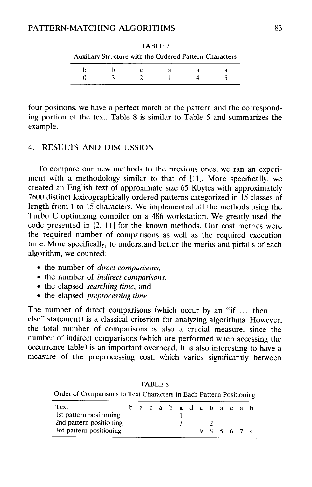### PATFERN-MATCHING ALGORITHMS

|  |  | Auxiliary Structure with the Ordered Pattern Characters |  |
|--|--|---------------------------------------------------------|--|
|  |  |                                                         |  |
|  |  |                                                         |  |

TABLE 7

four positions, we have a perfect match of the pattern and the corresponding portion of the text. Table 8 is similar to Table 5 and summarizes the example.

# 4. RESULTS AND DISCUSSION

To compare our new methods to the previous ones, we ran an experiment with a methodology similar to that of [11]. More specifically, we created an English text of approximate size 65 Kbytes with approximately 7600 distinct lexicographically ordered patterns categorized in 15 classes of length from 1 to 15 characters. We implemented all the methods using the Turbo C optimizing compiler on a 486 workstation. We greatly used the code presented in [2, 11] for the known methods. Our cost metrics were the required number of comparisons as well as the required execution time. More specifically, to understand better the merits and pitfalls of each algorithm, we counted:

- the number of *direct comparisons,*
- the number of *indirect comparisons,*
- the elapsed *searching time,* and
- the elapsed *preprocessing time.*

The number of direct comparisons (which occur by an "if ... then ... else" statement) is a classical criterion for analyzing algorithms. However, the total number of comparisons is also a crucial measure, since the number of indirect comparisons (which are performed when accessing the occurrence table) is an important overhead. It is also interesting to have a measure of the preprocessing cost, which varies significantly between

| Order of Comparisons to Text Characters in Each Pattern Positioning |  |  |                                                |   |  |             |  |  |
|---------------------------------------------------------------------|--|--|------------------------------------------------|---|--|-------------|--|--|
| Text                                                                |  |  | b a c a b <b>a</b> d a <b>b</b> a c a <b>b</b> |   |  |             |  |  |
| 1st pattern positioning                                             |  |  |                                                |   |  |             |  |  |
| 2nd pattern positioning                                             |  |  |                                                | 3 |  |             |  |  |
| 3rd pattern positioning                                             |  |  |                                                |   |  | 9 8 5 6 7 4 |  |  |

TABLE 8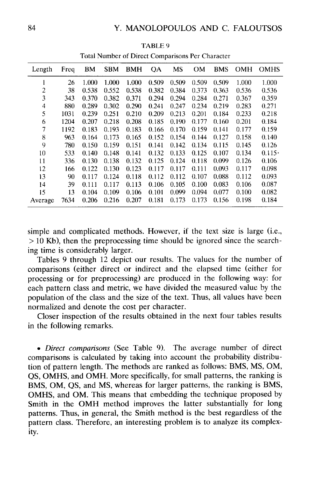| Length  | Freq | BM    | <b>SBM</b> | <b>BMH</b> | QA    | <b>MS</b> | OМ    | <b>BMS</b> | <b>OMH</b> | <b>OMHS</b>   |
|---------|------|-------|------------|------------|-------|-----------|-------|------------|------------|---------------|
| 1       | 26   | 1.000 | 1.000      | 1.000      | 0.509 | 0.509     | 0.509 | 0.509      | 1.000      | 1.000         |
| 2       | 38   | 0.538 | 0.552      | 0.538      | 0.382 | 0.384     | 0.373 | 0.363      | 0.536      | 0.536         |
| 3       | 343  | 0.370 | 0.382      | 0.371      | 0.294 | 0.294     | 0.284 | 0.271      | 0.367      | 0.359         |
| 4       | 880  | 0.289 | 0.302      | 0.290      | 0.241 | 0.247     | 0.234 | 0.219      | 0.283      | 0.271         |
| 5       | 1031 | 0.239 | 0.251      | 0.210      | 0.209 | 0.213     | 0.201 | 0.184      | 0.233      | 0.218         |
| 6       | 1204 | 0.207 | 0.218      | 0.208      | 0.185 | 0.190     | 0.177 | 0.160      | 0.201      | 0.184         |
| 7       | 1192 | 0.183 | 0.193      | 0.183      | 0.166 | 0.170     | 0.159 | 0.141      | 0.177      | 0.159         |
| 8       | 963  | 0.164 | 0.173      | 0.165      | 0.152 | 0.154     | 0.144 | 0.127      | 0.158      | 0.140         |
| 9       | 780  | 0.150 | 0.159      | 0.151      | 0.141 | 0.142     | 0.134 | 0.115      | 0.145      | 0.126         |
| 10      | 533  | 0.140 | 0.148      | 0.141      | 0.132 | 0.133     | 0.125 | 0.107      | 0.134      | $0.115 \cdot$ |
| 11      | 336  | 0.130 | 0.138      | 0.132      | 0.125 | 0.124     | 0.118 | 0.099      | 0.126      | 0.106         |
| 12      | 166  | 0.122 | 0.130      | 0.123      | 0.117 | 0.117     | 0.111 | 0.093      | 0.117      | 0.098         |
| 13      | 90   | 0.117 | 0.124      | 0.118      | 0.112 | 0.112     | 0.107 | 0.088      | 0.112      | 0.093         |
| 14      | 39   | 0.111 | 0.117      | 0.113      | 0.106 | 0.105     | 0.100 | 0.083      | 0.106      | 0.087         |
| 15      | 13   | 0.104 | 0.109      | 0.106      | 0.101 | 0.099     | 0.094 | 0.077      | 0.100      | 0.082         |
| Average | 7634 | 0.206 | 0.216      | 0.207      | 0.181 | 0.173     | 0.173 | 0.156      | 0.198      | 0.184         |

TABLE 9 Total Number of Direct Comparisons Per Character

simple and complicated methods. However, if the text size is large (i.e.,  $> 10$  Kb), then the preprocessing time should be ignored since the searching time is considerably larger.

Tables 9 through 12 depict our results. The values for the number of comparisons (either direct or indirect and the elapsed time (either for processing or for preprocessing) are produced in the following way: for each pattern class and metric, we have divided the measured value by the population of the class and the size of the text. Thus, all values have been normalized and denote the cost per character.

Closer inspection of the results obtained in the next four tables results in the following remarks.

*• Direct comparisons* (See Table 9). The average number of direct comparisons is calculated by taking into account the probability distribution of pattern length. The methods are ranked as follows: BMS, MS, OM, QS, OMHS, and OMH. More specifically, for small patterns, the ranking is BMS, OM, QS, and MS, whereas for larger patterns, the ranking is BMS, OMHS, and OM. This means that embedding the technique proposed by Smith in the OMH method improves the latter substantially for long patterns. Thus, in general, the Smith method is the best regardless of the pattern class. Therefore, an interesting problem is to analyze its complexity.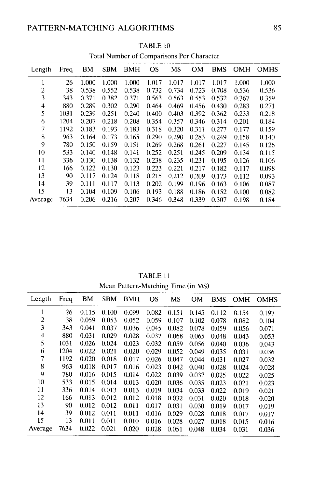# PATFERN-MATCHING ALGORITHMS

| Length         | Freq | <b>BM</b> | <b>SBM</b> | <b>BMH</b> | QS    | MS    | OМ    | <b>BMS</b> | OMH   | <b>OMHS</b> |
|----------------|------|-----------|------------|------------|-------|-------|-------|------------|-------|-------------|
| Ц              | 26   | 1.000     | 1.000      | 1.000      | 1.017 | 1.017 | 1.017 | 1.017      | 1.000 | 1.000       |
| $\overline{c}$ | 38   | 0.538     | 0.552      | 0.538      | 0.732 | 0.734 | 0.723 | 0.708      | 0.536 | 0.536       |
| 3              | 343  | 0.371     | 0.382      | 0.371      | 0.563 | 0.563 | 0.553 | 0.532      | 0.367 | 0.359       |
| 4              | 880  | 0.289     | 0.302      | 0.290      | 0.464 | 0.469 | 0.456 | 0.430      | 0.283 | 0.271       |
| 5              | 1031 | 0.239     | 0.251      | 0.240      | 0.400 | 0.403 | 0.392 | 0.362      | 0.233 | 0.218       |
| 6              | 1204 | 0.207     | 0.218      | 0.208      | 0.354 | 0.357 | 0.346 | 0.314      | 0.201 | 0.184       |
| 7              | 1192 | 0.183     | 0.193      | 0.183      | 0.318 | 0.320 | 0.311 | 0.277      | 0.177 | 0.159       |
| 8              | 963  | 0.164     | 0.173      | 0.165      | 0.290 | 0.290 | 0.283 | 0.249      | 0.158 | 0.140       |
| 9              | 780  | 0.150     | 0.159      | 0.151      | 0.269 | 0.268 | 0.261 | 0.227      | 0.145 | 0.126       |
| 10             | 533  | 0.140     | 0.148      | 0.141      | 0.252 | 0.251 | 0.245 | 0.209      | 0.134 | 0.115       |
| 11             | 336  | 0.130     | 0.138      | 0.132      | 0.238 | 0.235 | 0.231 | 0.195      | 0.126 | 0.106       |
| 12             | 166  | 0.122     | 0.130      | 0.123      | 0.223 | 0.221 | 0.217 | 0.182      | 0.117 | 0.098       |
| 13             | 90   | 0.117     | 0.124      | 0.118      | 0.215 | 0.212 | 0.209 | 0.173      | 0.112 | 0.093       |
| 14             | 39   | 0.111     | 0.117      | 0.113      | 0.202 | 0.199 | 0.196 | 0.163      | 0.106 | 0.087       |
| 15             | 13   | 0.104     | 0.109      | 0.106      | 0.193 | 0.188 | 0.186 | 0.152      | 0.100 | 0.082       |
| Average        | 7634 | 0.206     | 0.216      | 0.207      | 0.346 | 0.348 | 0.339 | 0.307      | 0.198 | 0.184       |

TABLE 10 Total Number of Comparisons Per Character

TABLE 11 Mean Pattern-Matching Time (in **MS)** 

| Length         | Freq | BM    | <b>SBM</b> | <b>BMH</b> | <b>QS</b> | <b>MS</b> | <b>OM</b> | <b>BMS</b> | OMH   | <b>OMHS</b> |
|----------------|------|-------|------------|------------|-----------|-----------|-----------|------------|-------|-------------|
| 1              | 26   | 0.115 | 0.100      | 0.099      | 0.082     | 0.151     | 0.145     | 0.112      | 0.154 | 0.197       |
| $\overline{c}$ | 38   | 0.059 | 0.053      | 0.052      | 0.059     | 0.107     | 0.102     | 0.078      | 0.082 | 0.104       |
| 3              | 343  | 0.041 | 0.037      | 0.036      | 0.045     | 0.082     | 0.078     | 0.059      | 0.056 | 0.071       |
| 4              | 880  | 0.031 | 0.029      | 0.028      | 0.037     | 0.068     | 0.065     | 0.048      | 0.043 | 0.053       |
| 5              | 1031 | 0.026 | 0.024      | 0.023      | 0.032     | 0.059     | 0.056     | 0.040      | 0.036 | 0.043       |
| 6              | 1204 | 0.022 | 0.021      | 0.020      | 0.029     | 0.052     | 0.049     | 0.035      | 0.031 | 0.036       |
| 7              | 1192 | 0.020 | 0.018      | 0.017      | 0.026     | 0.047     | 0.044     | 0.031      | 0.027 | 0.032       |
| 8              | 963  | 0.018 | 0.017      | 0.016      | 0.023     | 0.042     | 0.040     | 0.028      | 0.024 | 0.028       |
| 9              | 780  | 0.016 | 0.015      | 0.014      | 0.022     | 0.039     | 0.037     | 0.025      | 0.022 | 0.025       |
| 10             | 533  | 0.015 | 0.014      | 0.013      | 0.020     | 0.036     | 0.035     | 0.023      | 0.021 | 0.023       |
| 11             | 336  | 0.014 | 0.013      | 0.013      | 0.019     | 0.034     | 0.033     | 0.022      | 0.019 | 0.021       |
| 12             | 166  | 0.013 | 0.012      | 0.012      | 0.018     | 0.032     | 0.031     | 0.020      | 0.018 | 0.020       |
| 13             | 90   | 0.012 | 0.012      | 0.011      | 0.017     | 0.031     | 0.030     | 0.019      | 0.017 | 0.019       |
| 14             | 39   | 0.012 | 0.011      | 0.011      | 0.016     | 0.029     | 0.028     | 0.018      | 0.017 | 0.017       |
| 15             | 13   | 0.011 | 0.011      | 0.010      | 0.016     | 0.028     | 0.027     | 0.018      | 0.015 | 0.016       |
| Average        | 7634 | 0.022 | 0.021      | 0.020      | 0.028     | 0.051     | 0.048     | 0.034      | 0.031 | 0.036       |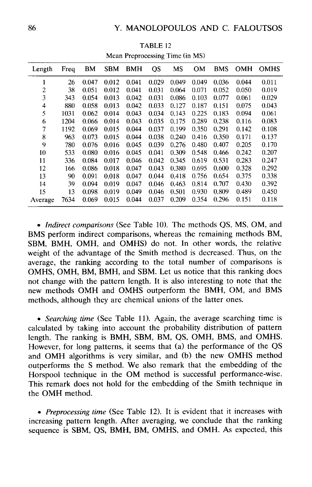| incan Freprocessing Third (in 1915) |      |       |            |            |           |       |       |            |            |             |
|-------------------------------------|------|-------|------------|------------|-----------|-------|-------|------------|------------|-------------|
| Length                              | Freq | BM    | <b>SBM</b> | <b>BMH</b> | <b>QS</b> | MS    | OМ    | <b>BMS</b> | <b>OMH</b> | <b>OMHS</b> |
| 1                                   | 26   | 0.047 | 0.012      | 0.041      | 0.029     | 0.049 | 0.049 | 0.036      | 0.044      | 0.011       |
| 2                                   | 38   | 0.051 | 0.012      | 0.041      | 0.031     | 0.064 | 0.071 | 0.052      | 0.050      | 0.019       |
| 3                                   | 343  | 0.054 | 0.013      | 0.042      | 0.031     | 0.086 | 0.103 | 0.077      | 0.061      | 0.029       |
| 4                                   | 880  | 0.058 | 0.013      | 0.042      | 0.033     | 0.127 | 0.187 | 0.151      | 0.075      | 0.043       |
| 5                                   | 1031 | 0.062 | 0.014      | 0.043      | 0.034     | 0.143 | 0.225 | 0.183      | 0.094      | 0.061       |
| 6                                   | 1204 | 0.066 | 0.014      | 0.043      | 0.035     | 0.175 | 0.289 | 0.238      | 0.116      | 0.083       |
| 7                                   | 1192 | 0.069 | 0.015      | 0.044      | 0.037     | 0.199 | 0.350 | 0.291      | 0.142      | 0.108       |
| 8                                   | 963  | 0.073 | 0.015      | 0.044      | 0.038     | 0.240 | 0.416 | 0.350      | 0.171      | 0.137       |
| 9                                   | 780  | 0.076 | 0.016      | 0.045      | 0.039     | 0.276 | 0.480 | 0.407      | 0.205      | 0.170       |
| 10                                  | 533  | 0.080 | 0.016      | 0.045      | 0.041     | 0.309 | 0.548 | 0.466      | 0.242      | 0.207       |
| 11                                  | 336  | 0.084 | 0.017      | 0.046      | 0.042     | 0.345 | 0.619 | 0.531      | 0.283      | 0.247       |
| 12                                  | 166  | 0.086 | 0.018      | 0.047      | 0.043     | 0.380 | 0.695 | 0.600      | 0.328      | 0.292       |
| 13                                  | 90   | 0.091 | 0.018      | 0.047      | 0.044     | 0.418 | 0.756 | 0.654      | 0.375      | 0.338       |
| 14                                  | 39   | 0.094 | 0.019      | 0.047      | 0.046     | 0.463 | 0.814 | 0.707      | 0.430      | 0.392       |
| 15                                  | 13   | 0.098 | 0.019      | 0.049      | 0.046     | 0.501 | 0.930 | 0.809      | 0.489      | 0.450       |
| Average                             | 7634 | 0.069 | 0.015      | 0.044      | 0.037     | 0.209 | 0.354 | 0.296      | 0.151      | 0.118       |

TABLE 12 Mean Preprocessing Time (in MS)

*• Indirect comparisons* (See Table 10). The methods QS, MS, OM, and BMS perform indirect comparisons, whereas the remaining methods BM, SBM, BMH, OMH, and OMHS) do not. In other words, the relative weight of the advantage of the Smith method is decreased. Thus, on the average, the ranking according to the total number of comparisons is OMHS, OMH, BM, BMH, and SBM. Let us notice that this ranking does not change with the pattern length. It is also interesting to note that the new methods OMH and OMHS outperform the BMH, OM, and BMS methods, although they are chemical unions of the latter ones.

*• Searching time* (See Table 11). Again, the average searching time is calculated by taking into account the probability distribution of pattern length. The ranking is BMH, SBM, BM, QS, OMH, BMS, and OMHS. However, for long patterns, it seems that (a) the performance of the QS and OMH algorithms is very similar, and (b) the new OMHS method outperforms the S method. We also remark that the embedding of the Horspool technique in the OM method is successful performance-wise. This remark does not hold for the embedding of the Smith technique in the OMH method.

*• Preprocessing time* (See Table 12). It is evident that it increases with increasing pattern length. After averaging, we conclude that the ranking sequence is SBM, QS, BMH, BM, OMHS, and OMH. As expected, this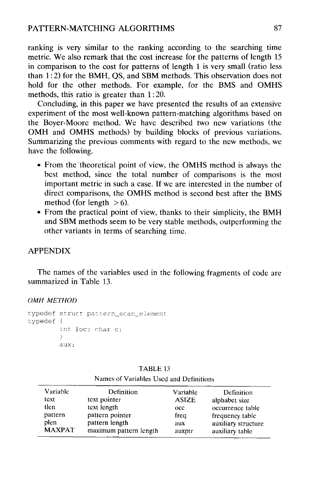# PATTERN-MATCHING ALGORITHMS 87

ranking is very similar to the ranking according to the searching time metric. We also remark that the cost increase for the patterns of length 15 in comparison to the cost for patterns of length 1 is very small (ratio less than 1 : 2) for the BMH, QS, and SBM methods. This observation does not hold for the other methods. For example, for the BMS and OMHS methods, this ratio is greater than 1:20.

Concluding, in this paper we have presented the results of an extensive experiment of the most well-known pattern-matching algorithms based on the Boyer-Moore method. We have described two new variations (the OMH and OMHS methods) by building blocks of previous variations. Summarizing the previous comments with regard to the new methods, we have the following.

- From the theoretical point of view, the OMHS method is always the best method, since the total number of comparisons is the most important metric in such a case. If we are interested in the number of direct comparisons, the OMHS method is second best after the BMS method (for length  $> 6$ ).
- From the practical point of view, thanks to their simplicity, the BMH and SBM methods seem to be very stable methods, outperforming the other variants in terms of searching time.

# APPENDIX

The names of the variables used in the following fragments of code are summarized in Table 13.

### *OMH METHOD*

```
typedef struct pattern scan element
typedef { 
        int loc; char c;
        } 
        aux:
```

| Variable      | Definition             | Variable     | Definition          |
|---------------|------------------------|--------------|---------------------|
| text          | text pointer           | <b>ASIZE</b> | alphabet size       |
| tlen          | text length            | occ          | occurrence table    |
| pattern       | pattern pointer        | freq         | frequency table     |
| plen          | pattern length         | aux          | auxiliary structure |
| <b>MAXPAT</b> | maximum pattern length | auxptr       | auxiliary table     |

| TABLE 13                                |  |
|-----------------------------------------|--|
| Names of Variables Used and Definitions |  |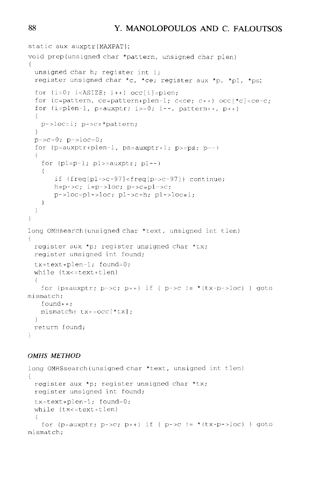```
static aux auxptr[MAXPAT]; 
void prep(unsigned char *pattern, unsigned char plen) 
€
  unsigned char h; register int i; 
  register unsigned char *c, *ce; register aux *p, *pl, *ps; 
  for (i=0; i<ASIZE; i++) occ[i]=plen;
  for (c=pattern, ce=pattern+plen-1; c<ce; c++) occ[*c] = ce-c;for (i=plement, p=auxptr; i>=0; i--, pattern++, p++){ 
   p->loc=i; p->c=*pattern;
  } 
  p->c=0; p->loc=0;for (p = auxptr+plen-1, ps = auxptr+1; p>=ps; p--)\left\{ \right.for (p1=p-1; p1>=auxptr; p1--){ 
       if (freq[p1->c-97]<freq[p->c-97]) continue;
       h=p->c; i=p->log; p->c=p1->c;
       p \rightarrow loc = p1 - \text{loc}; p1 - \text{oc-h}; p1 - \text{loc-i};} 
  \mathcal{V}\overline{\phantom{a}}long OMHsearch(unsigned char *text, unsigned int tlen) 
{ 
 register aux *p; register unsigned char *tx; 
 register unsigned int found; 
 tx = text + plen-1; found=0;
 while (tx<=text+tlen)
  ( 
    for (p auxptr; p >c; p++) if ( p >c ! *(tx-p >loc 
) goto 
mismatch; 
   found++; 
   mismatch: tx += occ['*tx];} 
 return found; 
}
```
### *OMHS METHOD*

```
long OMHSsearch(unsigned char *text, unsigned int tlen) 
\left(register aux *p; register unsigned char *tx; 
 register unsigned int found; 
 tx = text + plen - 1; found=0;
 while (tx<=text+tlen)
  { 
    for (p auxptr; p->c; p++) if ( p->c ! *(tx-p->loc 
) goto mismatch;
```